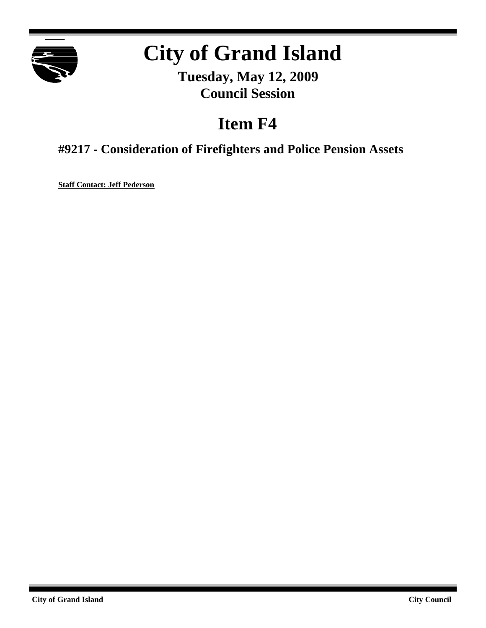

# **City of Grand Island**

**Tuesday, May 12, 2009 Council Session**

## **Item F4**

**#9217 - Consideration of Firefighters and Police Pension Assets**

**Staff Contact: Jeff Pederson**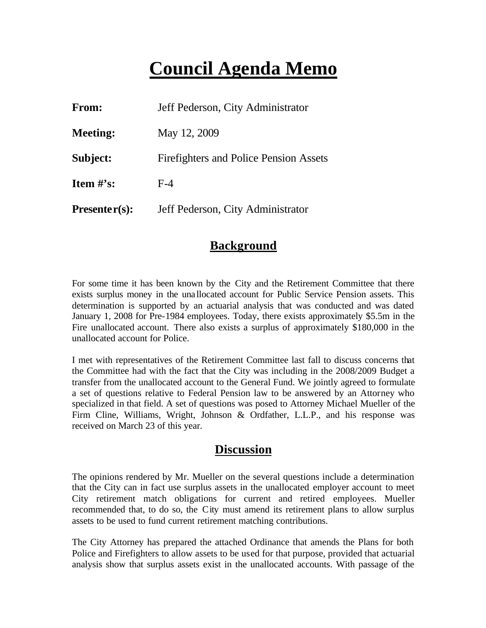## **Council Agenda Memo**

| From:                          | Jeff Pederson, City Administrator             |
|--------------------------------|-----------------------------------------------|
| <b>Meeting:</b>                | May 12, 2009                                  |
| Subject:                       | <b>Firefighters and Police Pension Assets</b> |
| <b>Item <math>\#</math>'s:</b> | $F-4$                                         |
| $Presenter(s):$                | Jeff Pederson, City Administrator             |

### **Background**

For some time it has been known by the City and the Retirement Committee that there exists surplus money in the unallocated account for Public Service Pension assets. This determination is supported by an actuarial analysis that was conducted and was dated January 1, 2008 for Pre-1984 employees. Today, there exists approximately \$5.5m in the Fire unallocated account. There also exists a surplus of approximately \$180,000 in the unallocated account for Police.

I met with representatives of the Retirement Committee last fall to discuss concerns that the Committee had with the fact that the City was including in the 2008/2009 Budget a transfer from the unallocated account to the General Fund. We jointly agreed to formulate a set of questions relative to Federal Pension law to be answered by an Attorney who specialized in that field. A set of questions was posed to Attorney Michael Mueller of the Firm Cline, Williams, Wright, Johnson & Ordfather, L.L.P., and his response was received on March 23 of this year.

### **Discussion**

The opinions rendered by Mr. Mueller on the several questions include a determination that the City can in fact use surplus assets in the unallocated employer account to meet City retirement match obligations for current and retired employees. Mueller recommended that, to do so, the City must amend its retirement plans to allow surplus assets to be used to fund current retirement matching contributions.

The City Attorney has prepared the attached Ordinance that amends the Plans for both Police and Firefighters to allow assets to be used for that purpose, provided that actuarial analysis show that surplus assets exist in the unallocated accounts. With passage of the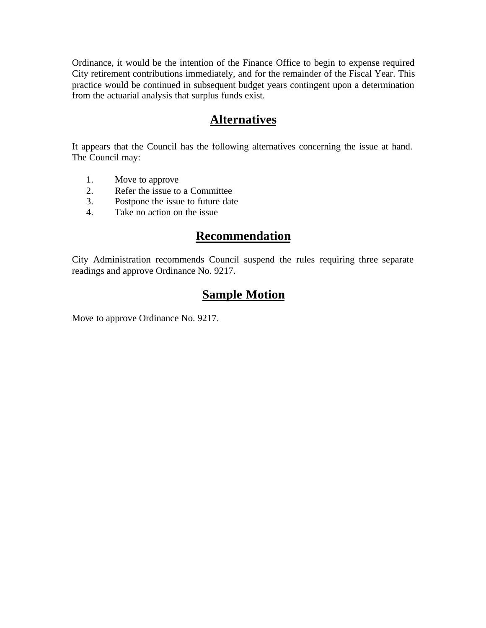Ordinance, it would be the intention of the Finance Office to begin to expense required City retirement contributions immediately, and for the remainder of the Fiscal Year. This practice would be continued in subsequent budget years contingent upon a determination from the actuarial analysis that surplus funds exist.

### **Alternatives**

It appears that the Council has the following alternatives concerning the issue at hand. The Council may:

- 1. Move to approve
- 2. Refer the issue to a Committee
- 3. Postpone the issue to future date
- 4. Take no action on the issue

### **Recommendation**

City Administration recommends Council suspend the rules requiring three separate readings and approve Ordinance No. 9217.

### **Sample Motion**

Move to approve Ordinance No. 9217.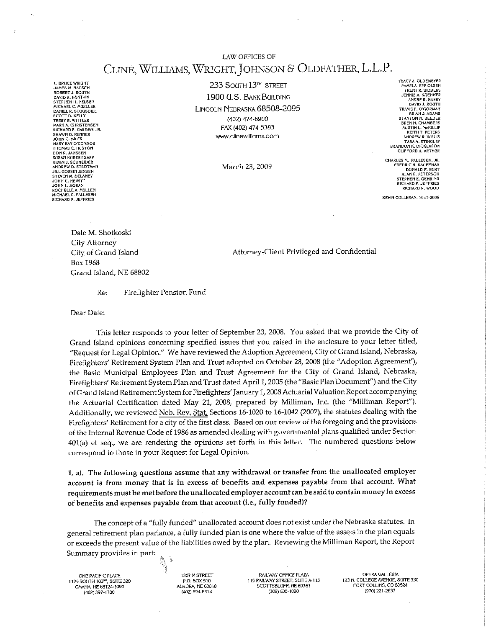LAW OFFICES OF

### CLINE, WILLIAMS, WRIGHT, JOHNSON & OLDFATHER, L.L.P.

**L. BRUCE WRIGHT<br>JAMES M. BAUSCH<br>ROBERT J. ROUTH** DAVID R. BUNTAIN STEPHEN H. NELSEN<br>MCHAEL C. MUELLER<br>DANIEL R. STOGSDILL<br>SCOTT D. KELLY **TERRY & WITH FR** TEKKY K. WITTLEK<br>MARK A. CHRISTENSEN<br>RICHARD P. GARDEN, JR.<br>SHAWN D. RENNER<br>JOHN C. MILES MARY KAY O'CONNOR<br>THOMAS C. HUSTON<br>DON R. JANSSEN<br>SUSAN KUBERT SAPP **KEVIN J. SCHNEIDER** ANDREW D. STROTMAN JEL GOSSIN JENSEN<br>STEVEN M. DELANEY **JOHN C. HEWITT**<br>JOHN L. HORAN **SOHN L. HORAN<br>ROCHELLE A. MULLEN<br>MICHAEL C. PALLESEN<br>RICHARD P. JEFFRIES** 

233 SOUTH 13<sup>™</sup> STREET 1900 U.S. BANK BUILDING LINCOLN. NEBRASKA 68508-2095 (402) 474-6900 FAX (402) 474-5393 www.clinewilliams.com

March 23, 2009

TRACY A. OLDEMEYER<br>PAMELA EPP OLSEN<br>TRENT R. SIDDERS<br>JENNIE A. KUEHNER ANDRE R. BARRY ANDRE R. BARRY<br>DAVID J. ROUTH<br>TRAVIS P. O'GORMAN<br>BRIAN J. ADAMS STANTON N. REEDER **BREN H. CHAMBERS<br>BREN H. CHAMBERS<br>AUSTIN L. McKILLIP<br>KEITH T. PETERS** ANDREW R. WILLIS ANDREW R. WIELIS<br>TARA A. STINGLEY<br>BRANDON K. DICKERSON<br>CLIFFORD A. ARTHUR

CHARLES M. PALLESEN, JR.<br>FREDRIC H. KAGFFMAN<br>DONALD F. BURT<br>ALAN E. PETERSON STEPHEN E. GEHRING **RICHARD P. JEFFRIFS** RICHARD R. WOOD

KEVIN COLLERAN, 1941-2006

Dale M. Shotkoski City Attorney City of Grand Island Box 1968 Grand Island, NE 68802

Attorney-Client Privileged and Confidential

Firefighter Pension Fund Re:

Dear Dale:

This letter responds to your letter of September 23, 2008. You asked that we provide the City of Grand Island opinions concerning specified issues that you raised in the enclosure to your letter titled, "Request for Legal Opinion." We have reviewed the Adoption Agreement, City of Grand Island, Nebraska, Firefighters' Retirement System Plan and Trust adopted on October 28, 2008 (the "Adoption Agreement"), the Basic Municipal Employees Plan and Trust Agreement for the City of Grand Island, Nebraska, Firefighters' Retirement System Plan and Trust dated April 1, 2005 (the "Basic Plan Document") and the City of Grand Island Retirement System for Firefighters' January 1, 2008 Actuarial Valuation Report accompanying the Actuarial Certification dated May 21, 2008, prepared by Milliman, Inc. (the "Milliman Report"). Additionally, we reviewed Neb. Rev. Stat. Sections 16-1020 to 16-1042 (2007), the statutes dealing with the Firefighters' Retirement for a city of the first class. Based on our review of the foregoing and the provisions of the Internal Revenue Code of 1986 as amended dealing with governmental plans qualified under Section 401(a) et seq., we are rendering the opinions set forth in this letter. The numbered questions below correspond to those in your Request for Legal Opinion.

1. a). The following questions assume that any withdrawal or transfer from the unallocated employer account is from money that is in excess of benefits and expenses payable from that account. What requirements must be met before the unallocated employer account can be said to contain money in excess of benefits and expenses payable from that account (i.e., fully funded)?

The concept of a "fully funded" unallocated account does not exist under the Nebraska statutes. In general retirement plan parlance, a fully funded plan is one where the value of the assets in the plan equals or exceeds the present value of the liabilities owed by the plan. Reviewing the Milliman Report, the Report Summary provides in part:

ONE PACIFIC PLACE<br>1125 SOUTH 103<sup>80</sup>, SUITE 320 OMAHA, NE 68124-1090 (402) 397-1700

1207 M STREET P.O. BOX 510 AURORA, NE 68818 (402) 694-6314

J

RAILWAY OFFICE PLAZA 115 RAILWAY STREET, SUITE A-115 SCOTTSBLUFF, NE 69361 (308) 635-1020

OPERA GALLERIA 123 N. COLLEGE AVENUE, SUITE 330<br>FORT COLLINS, CO 80524 (970) 221-2637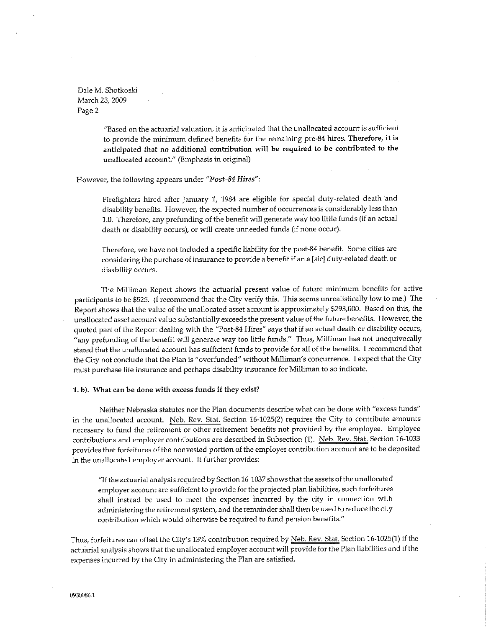> "Based on the actuarial valuation, it is anticipated that the unallocated account is sufficient to provide the minimum defined benefits for the remaining pre-84 hires. Therefore, it is anticipated that no additional contribution will be required to be contributed to the unallocated account." (Emphasis in original)

#### However, the following appears under "Post-84 Hires":

Firefighters hired after January 1, 1984 are eligible for special duty-related death and disability benefits. However, the expected number of occurrences is considerably less than 1.0. Therefore, any prefunding of the benefit will generate way too little funds (if an actual death or disability occurs), or will create unneeded funds (if none occur).

Therefore, we have not included a specific liability for the post-84 benefit. Some cities are considering the purchase of insurance to provide a benefit if an a [sic] duty-related death or disability occurs.

The Milliman Report shows the actuarial present value of future minimum benefits for active participants to be \$525. (I recommend that the City verify this. This seems unrealistically low to me.) The Report shows that the value of the unallocated asset account is approximately \$293,000. Based on this, the unallocated asset account value substantially exceeds the present value of the future benefits. However, the quoted part of the Report dealing with the "Post-84 Hires" says that if an actual death or disability occurs, "any prefunding of the benefit will generate way too little funds." Thus, Milliman has not unequivocally stated that the unallocated account has sufficient funds to provide for all of the benefits. I recommend that the City not conclude that the Plan is "overfunded" without Milliman's concurrence. I expect that the City must purchase life insurance and perhaps disability insurance for Milliman to so indicate.

#### 1. b). What can be done with excess funds if they exist?

Neither Nebraska statutes nor the Plan documents describe what can be done with "excess funds" in the unallocated account. Neb. Rev. Stat. Section 16-1025(2) requires the City to contribute amounts necessary to fund the retirement or other retirement benefits not provided by the employee. Employee contributions and employer contributions are described in Subsection (1). Neb. Rev. Stat. Section 16-1033 provides that forfeitures of the nonvested portion of the employer contribution account are to be deposited in the unallocated employer account. It further provides:

"If the actuarial analysis required by Section 16-1037 shows that the assets of the unallocated employer account are sufficient to provide for the projected plan liabilities, such forfeitures shall instead be used to meet the expenses incurred by the city in connection with administering the retirement system, and the remainder shall then be used to reduce the city contribution which would otherwise be required to fund pension benefits."

Thus, forfeitures can offset the City's 13% contribution required by Neb. Rev. Stat. Section 16-1025(1) if the actuarial analysis shows that the unallocated employer account will provide for the Plan liabilities and if the expenses incurred by the City in administering the Plan are satisfied.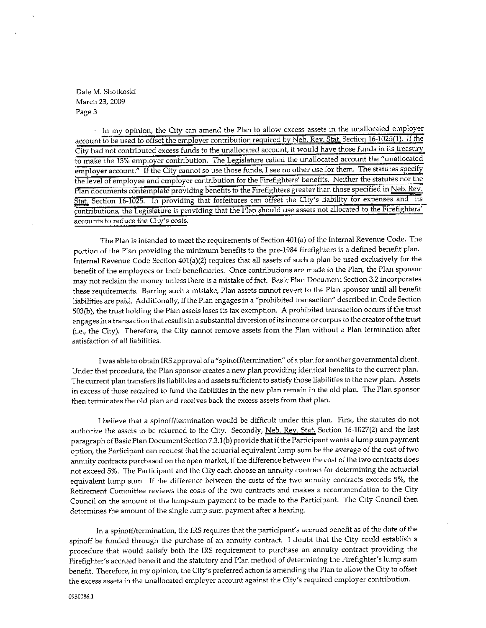In my opinion, the City can amend the Plan to allow excess assets in the unallocated employer account to be used to offset the employer contribution required by Neb. Rev. Stat. Section 16-1025(1). If the City had not contributed excess funds to the unallocated account, it would have those funds in its treasury to make the 13% employer contribution. The Legislature called the unallocated account the "unallocated employer account." If the City cannot so use those funds, I see no other use for them. The statutes specify the level of employee and employer contribution for the Firefighters' benefits. Neither the statutes nor the Plan documents contemplate providing benefits to the Firefighters greater than those specified in Neb. Rev. Stat. Section 16-1025. In providing that forfeitures can offset the City's liability for expenses and its contributions, the Legislature is providing that the Plan should use assets not allocated to the Firefighters' accounts to reduce the City's costs.

The Plan is intended to meet the requirements of Section 401(a) of the Internal Revenue Code. The portion of the Plan providing the minimum benefits to the pre-1984 firefighters is a defined benefit plan. Internal Revenue Code Section 401(a)(2) requires that all assets of such a plan be used exclusively for the benefit of the employees or their beneficiaries. Once contributions are made to the Plan, the Plan sponsor may not reclaim the money unless there is a mistake of fact. Basic Plan Document Section 3.2 incorporates these requirements. Barring such a mistake, Plan assets cannot revert to the Plan sponsor until all benefit liabilities are paid. Additionally, if the Plan engages in a "prohibited transaction" described in Code Section 503(b), the trust holding the Plan assets loses its tax exemption. A prohibited transaction occurs if the trust engages in a transaction that results in a substantial diversion of its income or corpus to the creator of the trust (i.e., the City). Therefore, the City cannot remove assets from the Plan without a Plan termination after satisfaction of all liabilities.

I was able to obtain IRS approval of a "spinoff/termination" of a plan for another governmental client. Under that procedure, the Plan sponsor creates a new plan providing identical benefits to the current plan. The current plan transfers its liabilities and assets sufficient to satisfy those liabilities to the new plan. Assets in excess of those required to fund the liabilities in the new plan remain in the old plan. The Plan sponsor then terminates the old plan and receives back the excess assets from that plan.

I believe that a spinoff/termination would be difficult under this plan. First, the statutes do not authorize the assets to be returned to the City. Secondly, Neb. Rev. Stat. Section 16-1027(2) and the last paragraph of Basic Plan Document Section 7.3.1(b) provide that if the Participant wants a lump sum payment option, the Participant can request that the actuarial equivalent lump sum be the average of the cost of two annuity contracts purchased on the open market, if the difference between the cost of the two contracts does not exceed 5%. The Participant and the City each choose an annuity contract for determining the actuarial equivalent lump sum. If the difference between the costs of the two annuity contracts exceeds 5%, the Retirement Committee reviews the costs of the two contracts and makes a recommendation to the City Council on the amount of the lump-sum payment to be made to the Participant. The City Council then determines the amount of the single lump sum payment after a hearing.

In a spinoff/termination, the IRS requires that the participant's accrued benefit as of the date of the spinoff be funded through the purchase of an annuity contract. I doubt that the City could establish a procedure that would satisfy both the IRS requirement to purchase an annuity contract providing the Firefighter's accrued benefit and the statutory and Plan method of determining the Firefighter's lump sum benefit. Therefore, in my opinion, the City's preferred action is amending the Plan to allow the City to offset the excess assets in the unallocated employer account against the City's required employer contribution.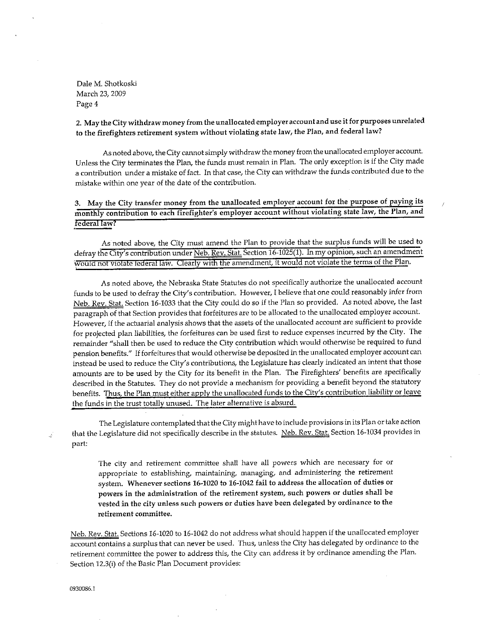2. May the City withdraw money from the unallocated employer account and use it for purposes unrelated to the firefighters retirement system without violating state law, the Plan, and federal law?

As noted above, the City cannot simply withdraw the money from the unallocated employer account. Unless the City terminates the Plan, the funds must remain in Plan. The only exception is if the City made a contribution under a mistake of fact. In that case, the City can withdraw the funds contributed due to the mistake within one year of the date of the contribution.

3. May the City transfer money from the unallocated employer account for the purpose of paying its monthly contribution to each firefighter's employer account without violating state law, the Plan, and federal law?

As noted above, the City must amend the Plan to provide that the surplus funds will be used to defray the City's contribution under Neb. Rev. Stat. Section 16-1025(1). In my opinion, such an amendment would not violate federal law. Clearly with the amendment, it would not violate the terms of the Plan.

As noted above, the Nebraska State Statutes do not specifically authorize the unallocated account funds to be used to defray the City's contribution. However, I believe that one could reasonably infer from Neb. Rev. Stat. Section 16-1033 that the City could do so if the Plan so provided. As noted above, the last paragraph of that Section provides that forfeitures are to be allocated to the unallocated employer account. However, if the actuarial analysis shows that the assets of the unallocated account are sufficient to provide for projected plan liabilities, the forfeitures can be used first to reduce expenses incurred by the City. The remainder "shall then be used to reduce the City contribution which would otherwise be required to fund pension benefits." If forfeitures that would otherwise be deposited in the unallocated employer account can instead be used to reduce the City's contributions, the Legislature has clearly indicated an intent that those amounts are to be used by the City for its benefit in the Plan. The Firefighters' benefits are specifically described in the Statutes. They do not provide a mechanism for providing a benefit beyond the statutory benefits. Thus, the Plan must either apply the unallocated funds to the City's contribution liability or leave the funds in the trust totally unused. The later alternative is absurd.

The Legislature contemplated that the City might have to include provisions in its Plan or take action that the Legislature did not specifically describe in the statutes. Neb. Rev. Stat. Section 16-1034 provides in part:

The city and retirement committee shall have all powers which are necessary for or appropriate to establishing, maintaining, managing, and administering the retirement system. Whenever sections 16-1020 to 16-1042 fail to address the allocation of duties or powers in the administration of the retirement system, such powers or duties shall be vested in the city unless such powers or duties have been delegated by ordinance to the retirement committee.

Neb. Rev. Stat. Sections 16-1020 to 16-1042 do not address what should happen if the unallocated employer account contains a surplus that can never be used. Thus, unless the City has delegated by ordinance to the retirement committee the power to address this, the City can address it by ordinance amending the Plan. Section 12.3(i) of the Basic Plan Document provides:

0930086.1

4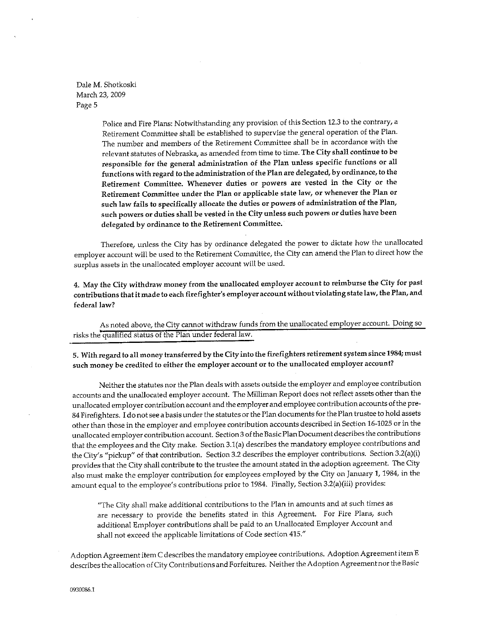> Police and Fire Plans: Notwithstanding any provision of this Section 12.3 to the contrary, a Retirement Committee shall be established to supervise the general operation of the Plan. The number and members of the Retirement Committee shall be in accordance with the relevant statutes of Nebraska, as amended from time to time. The City shall continue to be responsible for the general administration of the Plan unless specific functions or all functions with regard to the administration of the Plan are delegated, by ordinance, to the Retirement Committee. Whenever duties or powers are vested in the City or the Retirement Committee under the Plan or applicable state law, or whenever the Plan or such law fails to specifically allocate the duties or powers of administration of the Plan, such powers or duties shall be vested in the City unless such powers or duties have been delegated by ordinance to the Retirement Committee.

Therefore, unless the City has by ordinance delegated the power to dictate how the unallocated employer account will be used to the Retirement Committee, the City can amend the Plan to direct how the surplus assets in the unallocated employer account will be used.

4. May the City withdraw money from the unallocated employer account to reimburse the City for past contributions that it made to each firefighter's employer account without violating state law, the Plan, and federal law?

As noted above, the City cannot withdraw funds from the unallocated employer account. Doing so risks the qualified status of the Plan under federal law.

5. With regard to all money transferred by the City into the firefighters retirement system since 1984; must such money be credited to either the employer account or to the unallocated employer account?

Neither the statutes nor the Plan deals with assets outside the employer and employee contribution accounts and the unallocated employer account. The Milliman Report does not reflect assets other than the unallocated employer contribution account and the employer and employee contribution accounts of the pre-84 Firefighters. I do not see a basis under the statutes or the Plan documents for the Plan trustee to hold assets other than those in the employer and employee contribution accounts described in Section 16-1025 or in the unallocated employer contribution account. Section 3 of the Basic Plan Document describes the contributions that the employees and the City make. Section 3.1(a) describes the mandatory employee contributions and the City's "pickup" of that contribution. Section 3.2 describes the employer contributions. Section 3.2(a)(i) provides that the City shall contribute to the trustee the amount stated in the adoption agreement. The City also must make the employer contribution for employees employed by the City on January 1, 1984, in the amount equal to the employee's contributions prior to 1984. Finally, Section 3.2(a)(iii) provides:

"The City shall make additional contributions to the Plan in amounts and at such times as are necessary to provide the benefits stated in this Agreement. For Fire Plans, such additional Employer contributions shall be paid to an Unallocated Employer Account and shall not exceed the applicable limitations of Code section 415."

Adoption Agreement item C describes the mandatory employee contributions. Adoption Agreement item E describes the allocation of City Contributions and Forfeitures. Neither the Adoption Agreement nor the Basic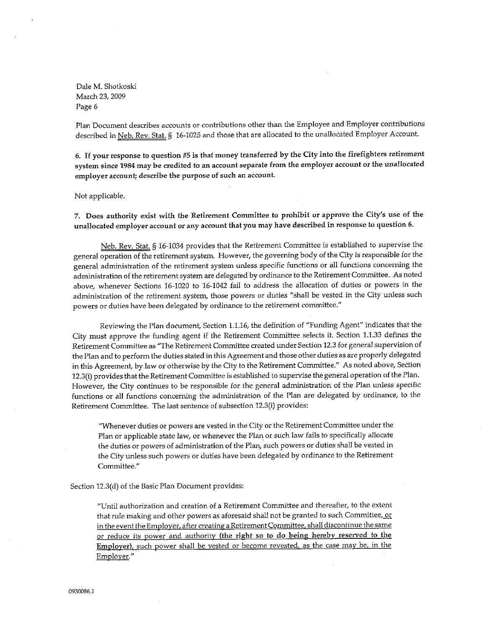Plan Document describes accounts or contributions other than the Employee and Employer contributions described in Neb. Rev. Stat. § 16-1025 and those that are allocated to the unallocated Employer Account.

6. If your response to question #5 is that money transferred by the City into the firefighters retirement system since 1984 may be credited to an account separate from the employer account or the unallocated employer account; describe the purpose of such an account.

#### Not applicable.

7. Does authority exist with the Retirement Committee to prohibit or approve the City's use of the unallocated employer account or any account that you may have described in response to question 6.

Neb. Rev. Stat. § 16-1034 provides that the Retirement Committee is established to supervise the general operation of the retirement system. However, the governing body of the City is responsible for the general administration of the retirement system unless specific functions or all functions concerning the administration of the retirement system are delegated by ordinance to the Retirement Committee. As noted above, whenever Sections 16-1020 to 16-1042 fail to address the allocation of duties or powers in the administration of the retirement system, those powers or duties "shall be vested in the City unless such powers or duties have been delegated by ordinance to the retirement committee."

Reviewing the Plan document, Section 1.1.16, the definition of "Funding Agent" indicates that the City must approve the funding agent if the Retirement Committee selects it. Section 1.1.33 defines the Retirement Committee as "The Retirement Committee created under Section 12.3 for general supervision of the Plan and to perform the duties stated in this Agreement and those other duties as are properly delegated in this Agreement, by law or otherwise by the City to the Retirement Committee." As noted above, Section 12.3(i) provides that the Retirement Committee is established to supervise the general operation of the Plan. However, the City continues to be responsible for the general administration of the Plan unless specific functions or all functions concerning the administration of the Plan are delegated by ordinance, to the Retirement Committee. The last sentence of subsection 12.3(i) provides:

"Whenever duties or powers are vested in the City or the Retirement Committee under the Plan or applicable state law, or whenever the Plan or such law fails to specifically allocate the duties or powers of administration of the Plan, such powers or duties shall be vested in the City unless such powers or duties have been delegated by ordinance to the Retirement Committee."

#### Section 12.3(d) of the Basic Plan Document provides:

"Until authorization and creation of a Retirement Committee and thereafter, to the extent that rule making and other powers as aforesaid shall not be granted to such Committee, or in the event the Employer, after creating a Retirement Committee, shall discontinue the same or reduce its power and authority (the right so to do being hereby reserved to the Employer), such power shall be vested or become revested, as the case may be, in the Employer."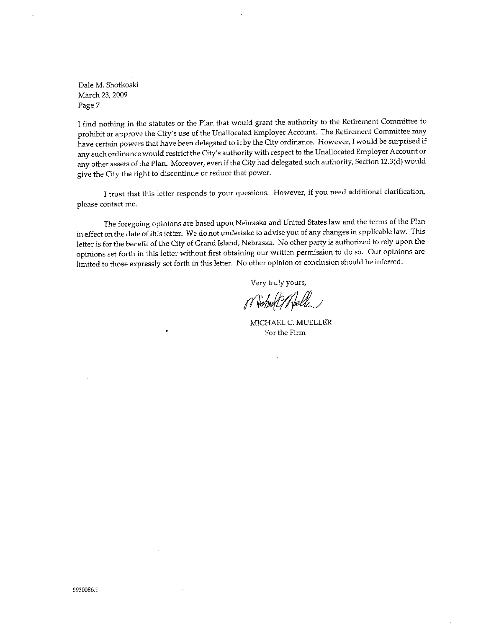I find nothing in the statutes or the Plan that would grant the authority to the Retirement Committee to prohibit or approve the City's use of the Unallocated Employer Account. The Retirement Committee may have certain powers that have been delegated to it by the City ordinance. However, I would be surprised if any such ordinance would restrict the City's authority with respect to the Unallocated Employer Account or any other assets of the Plan. Moreover, even if the City had delegated such authority, Section 12.3(d) would give the City the right to discontinue or reduce that power.

I trust that this letter responds to your questions. However, if you need additional clarification, please contact me.

The foregoing opinions are based upon Nebraska and United States law and the terms of the Plan in effect on the date of this letter. We do not undertake to advise you of any changes in applicable law. This letter is for the benefit of the City of Grand Island, Nebraska. No other party is authorized to rely upon the opinions set forth in this letter without first obtaining our written permission to do so. Our opinions are limited to those expressly set forth in this letter. No other opinion or conclusion should be inferred.

Very truly yours,

or Victore ? Weller

MICHAEL C. MUELLER For the Firm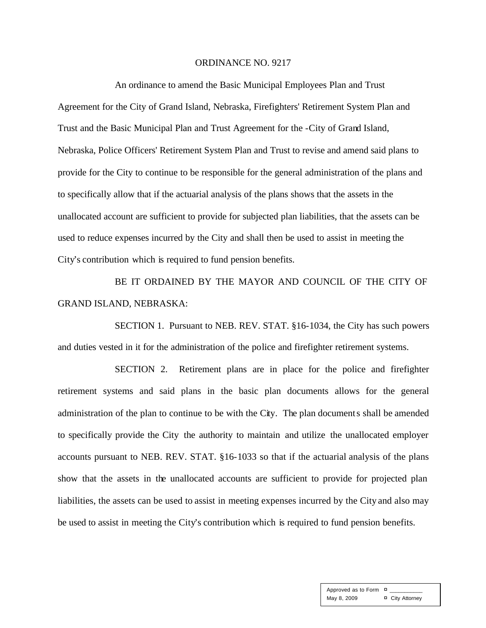#### ORDINANCE NO. 9217

An ordinance to amend the Basic Municipal Employees Plan and Trust Agreement for the City of Grand Island, Nebraska, Firefighters' Retirement System Plan and Trust and the Basic Municipal Plan and Trust Agreement for the -City of Grand Island, Nebraska, Police Officers' Retirement System Plan and Trust to revise and amend said plans to provide for the City to continue to be responsible for the general administration of the plans and to specifically allow that if the actuarial analysis of the plans shows that the assets in the unallocated account are sufficient to provide for subjected plan liabilities, that the assets can be used to reduce expenses incurred by the City and shall then be used to assist in meeting the City's contribution which is required to fund pension benefits.

BE IT ORDAINED BY THE MAYOR AND COUNCIL OF THE CITY OF GRAND ISLAND, NEBRASKA:

SECTION 1. Pursuant to NEB. REV. STAT. §16-1034, the City has such powers and duties vested in it for the administration of the police and firefighter retirement systems.

SECTION 2. Retirement plans are in place for the police and firefighter retirement systems and said plans in the basic plan documents allows for the general administration of the plan to continue to be with the City. The plan documents shall be amended to specifically provide the City the authority to maintain and utilize the unallocated employer accounts pursuant to NEB. REV. STAT. §16-1033 so that if the actuarial analysis of the plans show that the assets in the unallocated accounts are sufficient to provide for projected plan liabilities, the assets can be used to assist in meeting expenses incurred by the City and also may be used to assist in meeting the City's contribution which is required to fund pension benefits.